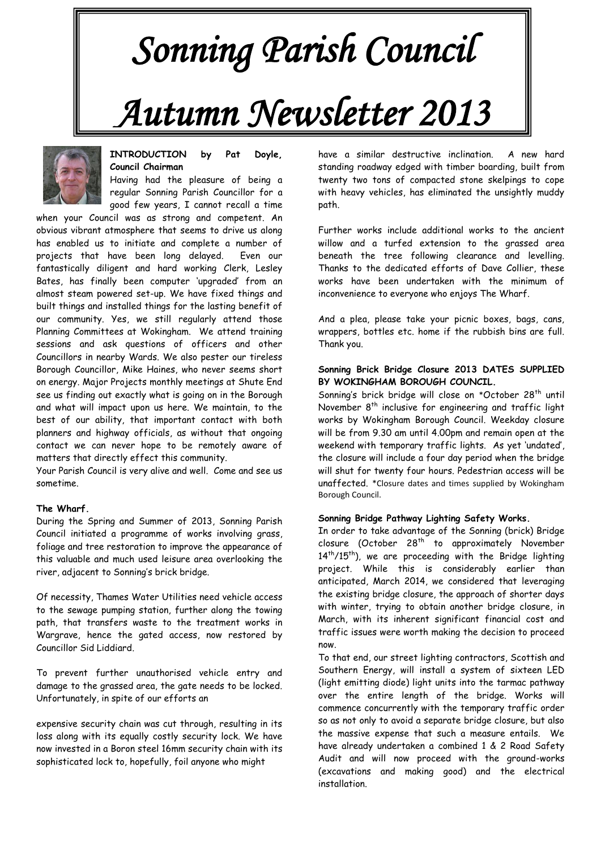# *Sonning Parish Council Autumn Newsletter 2013*



#### **INTRODUCTION by Pat Doyle, Council Chairman**

Having had the pleasure of being a regular Sonning Parish Councillor for a good few years, I cannot recall a time

when your Council was as strong and competent. An obvious vibrant atmosphere that seems to drive us along has enabled us to initiate and complete a number of projects that have been long delayed. Even our fantastically diligent and hard working Clerk, Lesley Bates, has finally been computer 'upgraded' from an almost steam powered set-up. We have fixed things and built things and installed things for the lasting benefit of our community. Yes, we still regularly attend those Planning Committees at Wokingham. We attend training sessions and ask questions of officers and other Councillors in nearby Wards. We also pester our tireless Borough Councillor, Mike Haines, who never seems short on energy. Major Projects monthly meetings at Shute End see us finding out exactly what is going on in the Borough and what will impact upon us here. We maintain, to the best of our ability, that important contact with both planners and highway officials, as without that ongoing contact we can never hope to be remotely aware of matters that directly effect this community.

Your Parish Council is very alive and well. Come and see us sometime.

#### **The Wharf.**

During the Spring and Summer of 2013, Sonning Parish Council initiated a programme of works involving grass, foliage and tree restoration to improve the appearance of this valuable and much used leisure area overlooking the river, adjacent to Sonning's brick bridge.

Of necessity, Thames Water Utilities need vehicle access to the sewage pumping station, further along the towing path, that transfers waste to the treatment works in Wargrave, hence the gated access, now restored by Councillor Sid Liddiard.

To prevent further unauthorised vehicle entry and damage to the grassed area, the gate needs to be locked. Unfortunately, in spite of our efforts an

expensive security chain was cut through, resulting in its loss along with its equally costly security lock. We have now invested in a Boron steel 16mm security chain with its sophisticated lock to, hopefully, foil anyone who might

have a similar destructive inclination. A new hard standing roadway edged with timber boarding, built from twenty two tons of compacted stone skelpings to cope with heavy vehicles, has eliminated the unsightly muddy path.

Further works include additional works to the ancient willow and a turfed extension to the grassed area beneath the tree following clearance and levelling. Thanks to the dedicated efforts of Dave Collier, these works have been undertaken with the minimum of inconvenience to everyone who enjoys The Wharf.

And a plea, please take your picnic boxes, bags, cans, wrappers, bottles etc. home if the rubbish bins are full. Thank you.

#### **Sonning Brick Bridge Closure 2013 DATES SUPPLIED BY WOKINGHAM BOROUGH COUNCIL.**

Sonning's brick bridge will close on \*October 28<sup>th</sup> until November 8<sup>th</sup> inclusive for engineering and traffic light works by Wokingham Borough Council. Weekday closure will be from 9.30 am until 4.00pm and remain open at the weekend with temporary traffic lights. As yet 'undated', the closure will include a four day period when the bridge will shut for twenty four hours. Pedestrian access will be unaffected. \*Closure dates and times supplied by Wokingham Borough Council.

#### **Sonning Bridge Pathway Lighting Safety Works.**

In order to take advantage of the Sonning (brick) Bridge closure (October 28<sup>th</sup> to approximately November 14<sup>th</sup>/15<sup>th</sup>), we are proceeding with the Bridge lighting project. While this is considerably earlier than anticipated, March 2014, we considered that leveraging the existing bridge closure, the approach of shorter days with winter, trying to obtain another bridge closure, in March, with its inherent significant financial cost and traffic issues were worth making the decision to proceed now.

To that end, our street lighting contractors, Scottish and Southern Energy, will install a system of sixteen LED (light emitting diode) light units into the tarmac pathway over the entire length of the bridge. Works will commence concurrently with the temporary traffic order so as not only to avoid a separate bridge closure, but also the massive expense that such a measure entails. We have already undertaken a combined 1 & 2 Road Safety Audit and will now proceed with the ground-works (excavations and making good) and the electrical installation.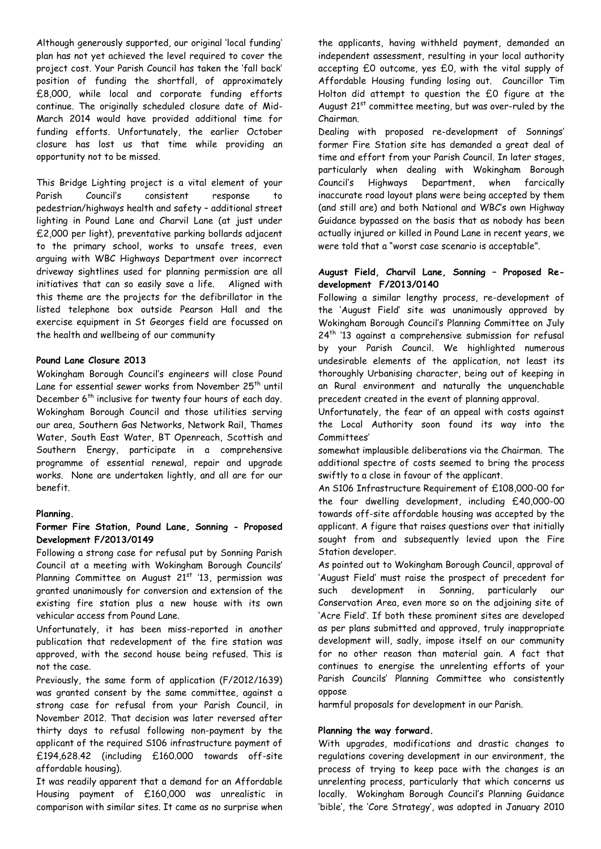Although generously supported, our original 'local funding' plan has not yet achieved the level required to cover the project cost. Your Parish Council has taken the 'fall back' position of funding the shortfall, of approximately £8,000, while local and corporate funding efforts continue. The originally scheduled closure date of Mid-March 2014 would have provided additional time for funding efforts. Unfortunately, the earlier October closure has lost us that time while providing an opportunity not to be missed.

This Bridge Lighting project is a vital element of your Parish Council's consistent response pedestrian/highways health and safety – additional street lighting in Pound Lane and Charvil Lane (at just under £2,000 per light), preventative parking bollards adjacent to the primary school, works to unsafe trees, even arguing with WBC Highways Department over incorrect driveway sightlines used for planning permission are all initiatives that can so easily save a life. Aligned with this theme are the projects for the defibrillator in the listed telephone box outside Pearson Hall and the exercise equipment in St Georges field are focussed on the health and wellbeing of our community

#### **Pound Lane Closure 2013**

Wokingham Borough Council's engineers will close Pound Lane for essential sewer works from November 25<sup>th</sup> until December 6<sup>th</sup> inclusive for twenty four hours of each day. Wokingham Borough Council and those utilities serving our area, Southern Gas Networks, Network Rail, Thames Water, South East Water, BT Openreach, Scottish and Southern Energy, participate in a comprehensive programme of essential renewal, repair and upgrade works. None are undertaken lightly, and all are for our benefit.

#### **Planning.**

#### **Former Fire Station, Pound Lane, Sonning - Proposed Development F/2013/0149**

Following a strong case for refusal put by Sonning Parish Council at a meeting with Wokingham Borough Councils' Planning Committee on August  $21<sup>st</sup>$  '13, permission was granted unanimously for conversion and extension of the existing fire station plus a new house with its own vehicular access from Pound Lane.

Unfortunately, it has been miss-reported in another publication that redevelopment of the fire station was approved, with the second house being refused. This is not the case.

Previously, the same form of application (F/2012/1639) was granted consent by the same committee, against a strong case for refusal from your Parish Council, in November 2012. That decision was later reversed after thirty days to refusal following non-payment by the applicant of the required S106 infrastructure payment of £194,628.42 (including £160.000 towards off-site affordable housing).

It was readily apparent that a demand for an Affordable Housing payment of £160,000 was unrealistic in comparison with similar sites. It came as no surprise when the applicants, having withheld payment, demanded an independent assessment, resulting in your local authority accepting £0 outcome, yes £0, with the vital supply of Affordable Housing funding losing out. Councillor Tim Holton did attempt to question the £0 figure at the August 21<sup>st</sup> committee meeting, but was over-ruled by the Chairman.

Dealing with proposed re-development of Sonnings' former Fire Station site has demanded a great deal of time and effort from your Parish Council. In later stages, particularly when dealing with Wokingham Borough Council's Highways Department, when farcically inaccurate road layout plans were being accepted by them (and still are) and both National and WBC's own Highway Guidance bypassed on the basis that as nobody has been actually injured or killed in Pound Lane in recent years, we were told that a "worst case scenario is acceptable".

#### **August Field, Charvil Lane, Sonning – Proposed Redevelopment F/2013/0140**

Following a similar lengthy process, re-development of the 'August Field' site was unanimously approved by Wokingham Borough Council's Planning Committee on July 24<sup>th</sup> '13 against a comprehensive submission for refusal by your Parish Council. We highlighted numerous undesirable elements of the application, not least its thoroughly Urbanising character, being out of keeping in an Rural environment and naturally the unquenchable precedent created in the event of planning approval.

Unfortunately, the fear of an appeal with costs against the Local Authority soon found its way into the Committees'

somewhat implausible deliberations via the Chairman. The additional spectre of costs seemed to bring the process swiftly to a close in favour of the applicant.

An S106 Infrastructure Requirement of £108,000-00 for the four dwelling development, including £40,000-00 towards off-site affordable housing was accepted by the applicant. A figure that raises questions over that initially sought from and subsequently levied upon the Fire Station developer.

As pointed out to Wokingham Borough Council, approval of 'August Field' must raise the prospect of precedent for such development in Sonning, particularly our Conservation Area, even more so on the adjoining site of 'Acre Field'. If both these prominent sites are developed as per plans submitted and approved, truly inappropriate development will, sadly, impose itself on our community for no other reason than material gain. A fact that continues to energise the unrelenting efforts of your Parish Councils' Planning Committee who consistently oppose

harmful proposals for development in our Parish.

#### **Planning the way forward.**

With upgrades, modifications and drastic changes to regulations covering development in our environment, the process of trying to keep pace with the changes is an unrelenting process, particularly that which concerns us locally. Wokingham Borough Council's Planning Guidance 'bible', the 'Core Strategy', was adopted in January 2010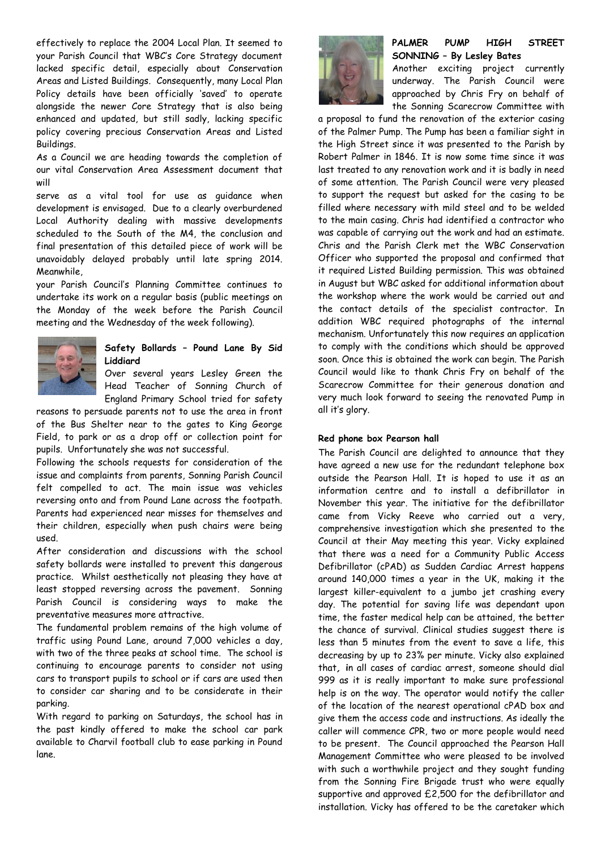effectively to replace the 2004 Local Plan. It seemed to your Parish Council that WBC's Core Strategy document lacked specific detail, especially about Conservation Areas and Listed Buildings. Consequently, many Local Plan Policy details have been officially 'saved' to operate alongside the newer Core Strategy that is also being enhanced and updated, but still sadly, lacking specific policy covering precious Conservation Areas and Listed Buildings.

As a Council we are heading towards the completion of our vital Conservation Area Assessment document that will

serve as a vital tool for use as guidance when development is envisaged. Due to a clearly overburdened Local Authority dealing with massive developments scheduled to the South of the M4, the conclusion and final presentation of this detailed piece of work will be unavoidably delayed probably until late spring 2014. Meanwhile,

your Parish Council's Planning Committee continues to undertake its work on a regular basis (public meetings on the Monday of the week before the Parish Council meeting and the Wednesday of the week following).



### **Safety Bollards – Pound Lane By Sid Liddiard**

Over several years Lesley Green the Head Teacher of Sonning Church of England Primary School tried for safety

reasons to persuade parents not to use the area in front of the Bus Shelter near to the gates to King George Field, to park or as a drop off or collection point for pupils. Unfortunately she was not successful.

Following the schools requests for consideration of the issue and complaints from parents, Sonning Parish Council felt compelled to act. The main issue was vehicles reversing onto and from Pound Lane across the footpath. Parents had experienced near misses for themselves and their children, especially when push chairs were being used.

After consideration and discussions with the school safety bollards were installed to prevent this dangerous practice. Whilst aesthetically not pleasing they have at least stopped reversing across the pavement. Sonning Parish Council is considering ways to make the preventative measures more attractive.

The fundamental problem remains of the high volume of traffic using Pound Lane, around 7,000 vehicles a day, with two of the three peaks at school time. The school is continuing to encourage parents to consider not using cars to transport pupils to school or if cars are used then to consider car sharing and to be considerate in their parking.

With regard to parking on Saturdays, the school has in the past kindly offered to make the school car park available to Charvil football club to ease parking in Pound lane.



## **PALMER PUMP HIGH STREET SONNING – By Lesley Bates**

Another exciting project currently underway. The Parish Council were approached by Chris Fry on behalf of the Sonning Scarecrow Committee with

a proposal to fund the renovation of the exterior casing of the Palmer Pump. The Pump has been a familiar sight in the High Street since it was presented to the Parish by Robert Palmer in 1846. It is now some time since it was last treated to any renovation work and it is badly in need of some attention. The Parish Council were very pleased to support the request but asked for the casing to be filled where necessary with mild steel and to be welded to the main casing. Chris had identified a contractor who was capable of carrying out the work and had an estimate. Chris and the Parish Clerk met the WBC Conservation Officer who supported the proposal and confirmed that it required Listed Building permission. This was obtained in August but WBC asked for additional information about the workshop where the work would be carried out and the contact details of the specialist contractor. In addition WBC required photographs of the internal mechanism. Unfortunately this now requires an application to comply with the conditions which should be approved soon. Once this is obtained the work can begin. The Parish Council would like to thank Chris Fry on behalf of the Scarecrow Committee for their generous donation and very much look forward to seeing the renovated Pump in all it's glory.

#### **Red phone box Pearson hall**

The Parish Council are delighted to announce that they have agreed a new use for the redundant telephone box outside the Pearson Hall. It is hoped to use it as an information centre and to install a defibrillator in November this year. The initiative for the defibrillator came from Vicky Reeve who carried out a very, comprehensive investigation which she presented to the Council at their May meeting this year. Vicky explained that there was a need for a Community Public Access Defibrillator (cPAD) as Sudden Cardiac Arrest happens around 140,000 times a year in the UK, making it the largest killer-equivalent to a jumbo jet crashing every day. The potential for saving life was dependant upon time, the faster medical help can be attained, the better the chance of survival. Clinical studies suggest there is less than 5 minutes from the event to save a life, this decreasing by up to 23% per minute. Vicky also explained that**, i**n all cases of cardiac arrest, someone should dial 999 as it is really important to make sure professional help is on the way. The operator would notify the caller of the location of the nearest operational cPAD box and give them the access code and instructions. As ideally the caller will commence CPR, two or more people would need to be present. The Council approached the Pearson Hall Management Committee who were pleased to be involved with such a worthwhile project and they sought funding from the Sonning Fire Brigade trust who were equally supportive and approved £2,500 for the defibrillator and installation. Vicky has offered to be the caretaker which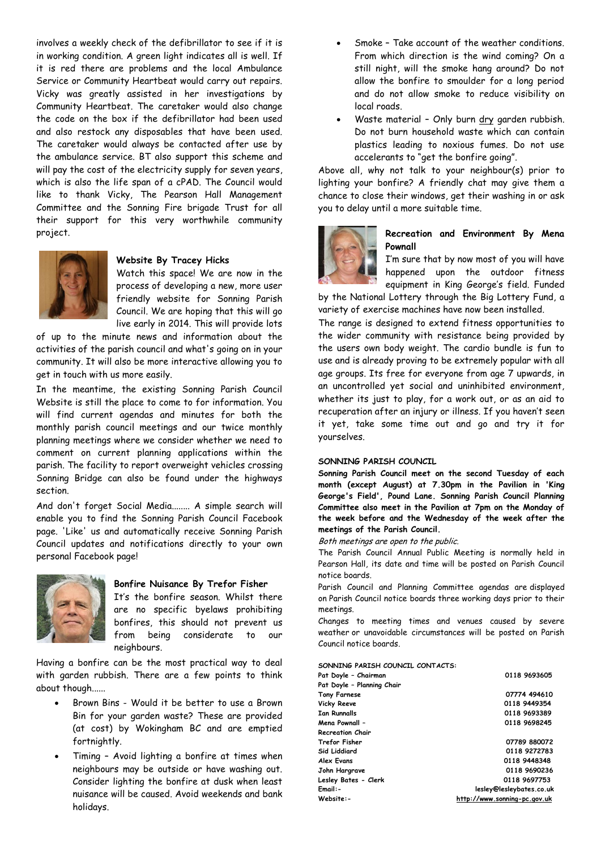involves a weekly check of the defibrillator to see if it is in working condition. A green light indicates all is well. If it is red there are problems and the local Ambulance Service or Community Heartbeat would carry out repairs. Vicky was greatly assisted in her investigations by Community Heartbeat. The caretaker would also change the code on the box if the defibrillator had been used and also restock any disposables that have been used. The caretaker would always be contacted after use by the ambulance service. BT also support this scheme and will pay the cost of the electricity supply for seven years, which is also the life span of a cPAD. The Council would like to thank Vicky, The Pearson Hall Management Committee and the Sonning Fire brigade Trust for all their support for this very worthwhile community project.



#### **Website By Tracey Hicks**

Watch this space! We are now in the process of developing a new, more user friendly website for Sonning Parish Council. We are hoping that this will go live early in 2014. This will provide lots

of up to the minute news and information about the activities of the parish council and what's going on in your community. It will also be more interactive allowing you to get in touch with us more easily.

In the meantime, the existing Sonning Parish Council Website is still the place to come to for information. You will find current agendas and minutes for both the monthly parish council meetings and our twice monthly planning meetings where we consider whether we need to comment on current planning applications within the parish. The facility to report overweight vehicles crossing Sonning Bridge can also be found under the highways section.

And don't forget Social Media........ A simple search will enable you to find the Sonning Parish Council Facebook page. 'Like' us and automatically receive Sonning Parish Council updates and notifications directly to your own personal Facebook page!



#### **Bonfire Nuisance By Trefor Fisher**

It's the bonfire season. Whilst there are no specific byelaws prohibiting bonfires, this should not prevent us from being considerate to our neighbours.

Having a bonfire can be the most practical way to deal with garden rubbish. There are a few points to think about though......

- Brown Bins Would it be better to use a Brown Bin for your garden waste? These are provided (at cost) by Wokingham BC and are emptied fortnightly.
- Timing Avoid lighting a bonfire at times when neighbours may be outside or have washing out. Consider lighting the bonfire at dusk when least nuisance will be caused. Avoid weekends and bank holidays.
- Smoke Take account of the weather conditions. From which direction is the wind coming? On a still night, will the smoke hang around? Do not allow the bonfire to smoulder for a long period and do not allow smoke to reduce visibility on local roads.
- Waste material Only burn dry garden rubbish. Do not burn household waste which can contain plastics leading to noxious fumes. Do not use accelerants to "get the bonfire going".

Above all, why not talk to your neighbour(s) prior to lighting your bonfire? A friendly chat may give them a chance to close their windows, get their washing in or ask you to delay until a more suitable time.



#### **Recreation and Environment By Mena Pownall**

I'm sure that by now most of you will have happened upon the outdoor fitness equipment in King George's field. Funded

by the National Lottery through the Big Lottery Fund, a variety of exercise machines have now been installed.

The range is designed to extend fitness opportunities to the wider community with resistance being provided by the users own body weight. The cardio bundle is fun to use and is already proving to be extremely popular with all age groups. Its free for everyone from age 7 upwards, in an uncontrolled yet social and uninhibited environment, whether its just to play, for a work out, or as an aid to recuperation after an injury or illness. If you haven't seen it yet, take some time out and go and try it for yourselves.

#### **SONNING PARISH COUNCIL**

**Sonning Parish Council meet on the second Tuesday of each month (except August) at 7.30pm in the Pavilion in 'King George's Field', Pound Lane. Sonning Parish Council Planning Committee also meet in the Pavilion at 7pm on the Monday of the week before and the Wednesday of the week after the meetings of the Parish Council.**

Both meetings are open to the public.

The Parish Council Annual Public Meeting is normally held in Pearson Hall, its date and time will be posted on Parish Council notice boards.

Parish Council and Planning Committee agendas are displayed on Parish Council notice boards three working days prior to their meetings.

Changes to meeting times and venues caused by severe weather or unavoidable circumstances will be posted on Parish Council notice boards.

**SONNING PARISH COUNCIL CONTACTS:**

| Pat Doyle - Chairman       | 0118 9693605                 |
|----------------------------|------------------------------|
| Pat Doyle - Planning Chair |                              |
| <b>Tony Farnese</b>        | 07774 494610                 |
| Vicky Reeve                | 0118 9449354                 |
| <b>Ian Runnalls</b>        | 0118 9693389                 |
| Mena Pownall -             | 0118 9698245                 |
| <b>Recreation Chair</b>    |                              |
| <b>Trefor Fisher</b>       | 07789 880072                 |
| Sid Liddiard               | 0118 9272783                 |
| Alex Evans                 | 0118 9448348                 |
| John Hargrave              | 0118 9690236                 |
| Lesley Bates - Clerk       | 0118 9697753                 |
| Email:-                    | lesley@lesleybates.co.uk     |
| Website:-                  | http://www.sonning-pc.gov.uk |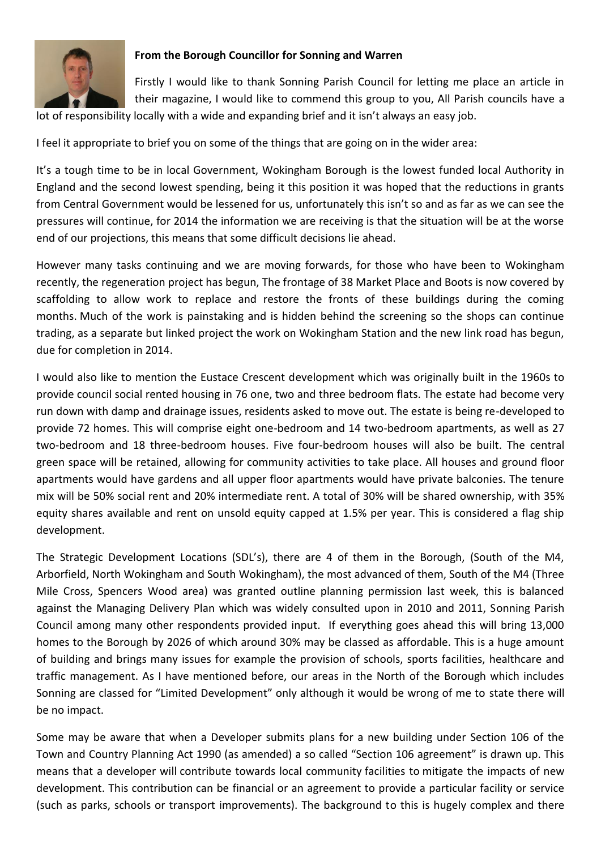

# **From the Borough Councillor for Sonning and Warren**

Firstly I would like to thank Sonning Parish Council for letting me place an article in their magazine, I would like to commend this group to you, All Parish councils have a lot of responsibility locally with a wide and expanding brief and it isn't always an easy job.

I feel it appropriate to brief you on some of the things that are going on in the wider area:

It's a tough time to be in local Government, Wokingham Borough is the lowest funded local Authority in England and the second lowest spending, being it this position it was hoped that the reductions in grants from Central Government would be lessened for us, unfortunately this isn't so and as far as we can see the pressures will continue, for 2014 the information we are receiving is that the situation will be at the worse end of our projections, this means that some difficult decisions lie ahead.

However many tasks continuing and we are moving forwards, for those who have been to Wokingham recently, the regeneration project has begun, The frontage of 38 Market Place and Boots is now covered by scaffolding to allow work to replace and restore the fronts of these buildings during the coming months. Much of the work is painstaking and is hidden behind the screening so the shops can continue trading, as a separate but linked project the work on Wokingham Station and the new link road has begun, due for completion in 2014.

I would also like to mention the Eustace Crescent development which was originally built in the 1960s to provide council social rented housing in 76 one, two and three bedroom flats. The estate had become very run down with damp and drainage issues, residents asked to move out. The estate is being re-developed to provide 72 homes. This will comprise eight one-bedroom and 14 two-bedroom apartments, as well as 27 two-bedroom and 18 three-bedroom houses. Five four-bedroom houses will also be built. The central green space will be retained, allowing for community activities to take place. All houses and ground floor apartments would have gardens and all upper floor apartments would have private balconies. The tenure mix will be 50% social rent and 20% intermediate rent. A total of 30% will be shared ownership, with 35% equity shares available and rent on unsold equity capped at 1.5% per year. This is considered a flag ship development.

The Strategic Development Locations (SDL's), there are 4 of them in the Borough, (South of the M4, Arborfield, North Wokingham and South Wokingham), the most advanced of them, South of the M4 (Three Mile Cross, Spencers Wood area) was granted outline planning permission last week, this is balanced against the Managing Delivery Plan which was widely consulted upon in 2010 and 2011, Sonning Parish Council among many other respondents provided input. If everything goes ahead this will bring 13,000 homes to the Borough by 2026 of which around 30% may be classed as affordable. This is a huge amount of building and brings many issues for example the provision of schools, sports facilities, healthcare and traffic management. As I have mentioned before, our areas in the North of the Borough which includes Sonning are classed for "Limited Development" only although it would be wrong of me to state there will be no impact.

Some may be aware that when a Developer submits plans for a new building under Section 106 of the Town and Country Planning Act 1990 (as amended) a so called "Section 106 agreement" is drawn up. This means that a developer will contribute towards local community facilities to mitigate the impacts of new development. This contribution can be financial or an agreement to provide a particular facility or service (such as parks, schools or transport improvements). The background to this is hugely complex and there